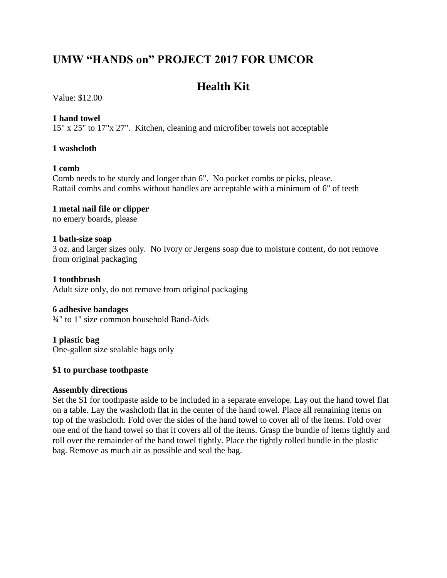## **UMW "HANDS on" PROJECT 2017 FOR UMCOR**

# **Health Kit**

Value: \$12.00

## **1 hand towel**

15" x 25" to 17"x 27". Kitchen, cleaning and microfiber towels not acceptable

## **1 washcloth**

## **1 comb**

Comb needs to be sturdy and longer than 6". No pocket combs or picks, please. Rattail combs and combs without handles are acceptable with a minimum of 6" of teeth

#### **1 metal nail file or clipper** no emery boards, please

#### **1 bath-size soap**

3 oz. and larger sizes only. No Ivory or Jergens soap due to moisture content, do not remove from original packaging

**1 toothbrush** Adult size only, do not remove from original packaging

## **6 adhesive bandages**

¾" to 1" size common household Band-Aids

## **1 plastic bag**

One-gallon size sealable bags only

## **\$1 to purchase toothpaste**

## **Assembly directions**

Set the \$1 for toothpaste aside to be included in a separate envelope. Lay out the hand towel flat on a table. Lay the washcloth flat in the center of the hand towel. Place all remaining items on top of the washcloth. Fold over the sides of the hand towel to cover all of the items. Fold over one end of the hand towel so that it covers all of the items. Grasp the bundle of items tightly and roll over the remainder of the hand towel tightly. Place the tightly rolled bundle in the plastic bag. Remove as much air as possible and seal the bag.